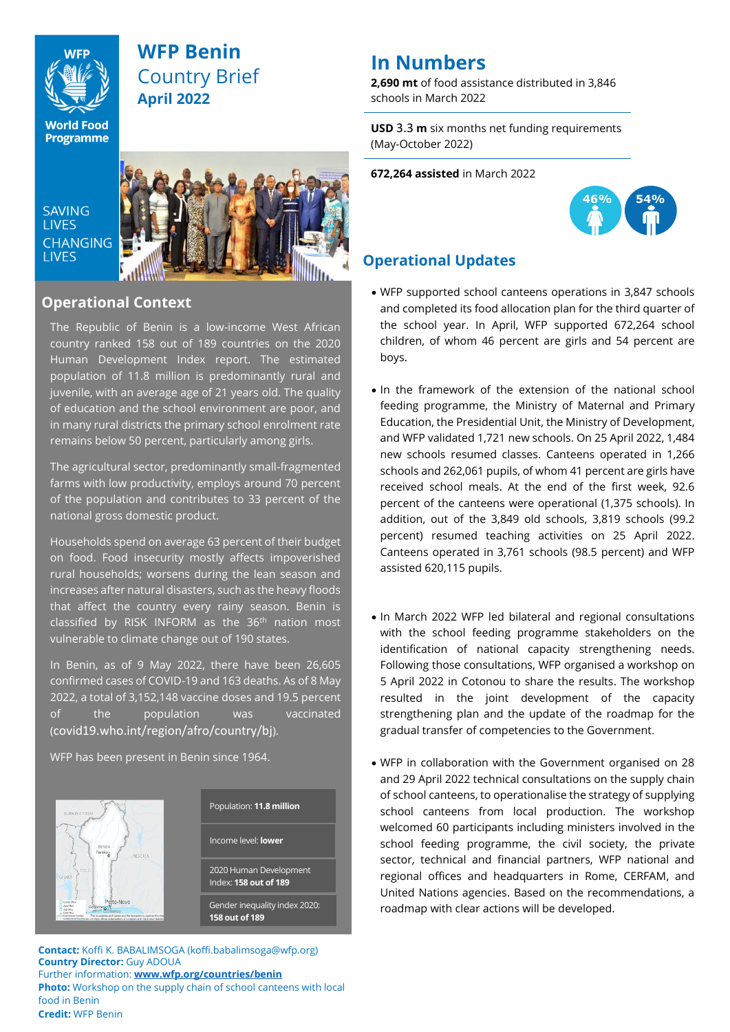

# **WFP Benin** Country Brief **April 2022**

**World Food Programme** 

SAVING **TIVES CHANGING LIVES** 



## **Operational Context**

The Republic of Benin is a low-income West African country ranked 158 out of 189 countries on the 2020 Human Development Index report. The estimated population of 11.8 million is predominantly rural and juvenile, with an average age of 21 years old. The quality of education and the school environment are poor, and in many rural districts the primary school enrolment rate remains below 50 percent, particularly among girls.

The agricultural sector, predominantly small-fragmented farms with low productivity, employs around 70 percent of the population and contributes to 33 percent of the national gross domestic product.

Households spend on average 63 percent of their budget on food. Food insecurity mostly affects impoverished rural households; worsens during the lean season and increases after natural disasters, such as the heavy floods that affect the country every rainy season. Benin is classified by RISK INFORM as the  $36<sup>th</sup>$  nation most vulnerable to climate change out of 190 states.

In Benin, as of 9 May 2022, there have been 26,605 confirmed cases of COVID-19 and 163 deaths. As of 8 May 2022, a total of 3,152,148 vaccine doses and 19.5 percent of the population was vaccinated (covid19.who.int/region/afro/country/bj).

WFP has been present in Benin since 1964.



**Contact:** Koffi K. BABALIMSOGA (koffi.babalimsoga@wfp.org) **Country Director:** Guy ADOUA Further information: **[www.wfp.org/countries/benin](http://www.wfp.org/countries/benin) Photo:** Workshop on the supply chain of school canteens with local food in Benin **Credit:** WFP Benin

# **In Numbers**

**2,690 mt** of food assistance distributed in 3,846 schools in March 2022

**USD** 3.3 **m** six months net funding requirements (May-October 2022)

**672,264 assisted** in March 2022



# **Operational Updates**

- WFP supported school canteens operations in 3,847 schools and completed its food allocation plan for the third quarter of the school year. In April, WFP supported 672,264 school children, of whom 46 percent are girls and 54 percent are boys.
- In the framework of the extension of the national school feeding programme, the Ministry of Maternal and Primary Education, the Presidential Unit, the Ministry of Development, and WFP validated 1,721 new schools. On 25 April 2022, 1,484 new schools resumed classes. Canteens operated in 1,266 schools and 262,061 pupils, of whom 41 percent are girls have received school meals. At the end of the first week, 92.6 percent of the canteens were operational (1,375 schools). In addition, out of the 3,849 old schools, 3,819 schools (99.2 percent) resumed teaching activities on 25 April 2022. Canteens operated in 3,761 schools (98.5 percent) and WFP assisted 620,115 pupils.
- In March 2022 WFP led bilateral and regional consultations with the school feeding programme stakeholders on the identification of national capacity strengthening needs. Following those consultations, WFP organised a workshop on 5 April 2022 in Cotonou to share the results. The workshop resulted in the joint development of the capacity strengthening plan and the update of the roadmap for the gradual transfer of competencies to the Government.
- WFP in collaboration with the Government organised on 28 and 29 April 2022 technical consultations on the supply chain of school canteens, to operationalise the strategy of supplying school canteens from local production. The workshop welcomed 60 participants including ministers involved in the school feeding programme, the civil society, the private sector, technical and financial partners, WFP national and regional offices and headquarters in Rome, CERFAM, and United Nations agencies. Based on the recommendations, a roadmap with clear actions will be developed.